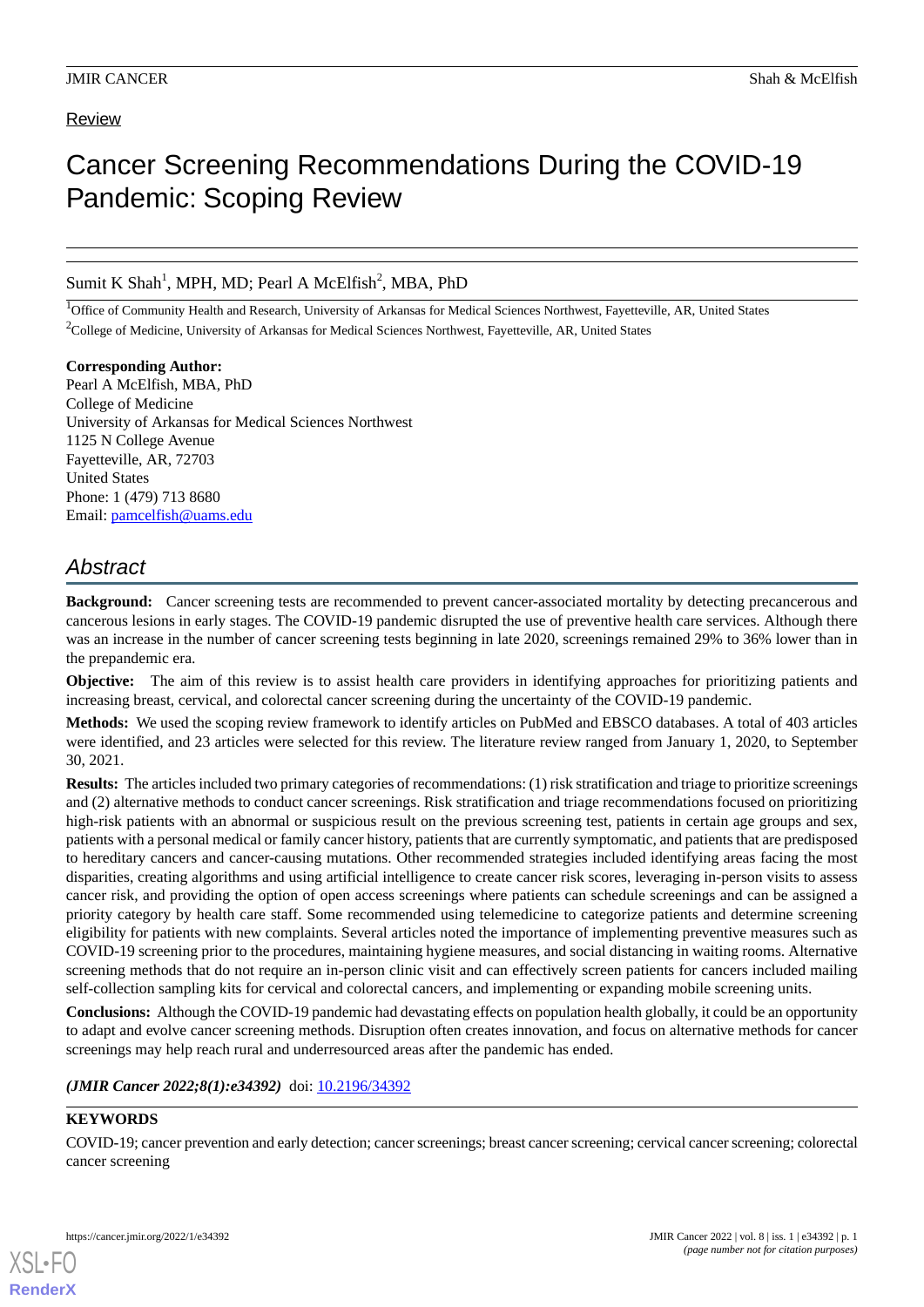### Review

# Cancer Screening Recommendations During the COVID-19 Pandemic: Scoping Review

Sumit K Shah<sup>1</sup>, MPH, MD; Pearl A McElfish<sup>2</sup>, MBA, PhD

<sup>1</sup>Office of Community Health and Research, University of Arkansas for Medical Sciences Northwest, Fayetteville, AR, United States <sup>2</sup>College of Medicine, University of Arkansas for Medical Sciences Northwest, Fayetteville, AR, United States

**Corresponding Author:** Pearl A McElfish, MBA, PhD College of Medicine University of Arkansas for Medical Sciences Northwest 1125 N College Avenue Fayetteville, AR, 72703 United States Phone: 1 (479) 713 8680 Email: [pamcelfish@uams.edu](mailto:pamcelfish@uams.edu)

## *Abstract*

**Background:** Cancer screening tests are recommended to prevent cancer-associated mortality by detecting precancerous and cancerous lesions in early stages. The COVID-19 pandemic disrupted the use of preventive health care services. Although there was an increase in the number of cancer screening tests beginning in late 2020, screenings remained 29% to 36% lower than in the prepandemic era.

**Objective:** The aim of this review is to assist health care providers in identifying approaches for prioritizing patients and increasing breast, cervical, and colorectal cancer screening during the uncertainty of the COVID-19 pandemic.

**Methods:** We used the scoping review framework to identify articles on PubMed and EBSCO databases. A total of 403 articles were identified, and 23 articles were selected for this review. The literature review ranged from January 1, 2020, to September 30, 2021.

**Results:** The articles included two primary categories of recommendations: (1) risk stratification and triage to prioritize screenings and (2) alternative methods to conduct cancer screenings. Risk stratification and triage recommendations focused on prioritizing high-risk patients with an abnormal or suspicious result on the previous screening test, patients in certain age groups and sex, patients with a personal medical or family cancer history, patients that are currently symptomatic, and patients that are predisposed to hereditary cancers and cancer-causing mutations. Other recommended strategies included identifying areas facing the most disparities, creating algorithms and using artificial intelligence to create cancer risk scores, leveraging in-person visits to assess cancer risk, and providing the option of open access screenings where patients can schedule screenings and can be assigned a priority category by health care staff. Some recommended using telemedicine to categorize patients and determine screening eligibility for patients with new complaints. Several articles noted the importance of implementing preventive measures such as COVID-19 screening prior to the procedures, maintaining hygiene measures, and social distancing in waiting rooms. Alternative screening methods that do not require an in-person clinic visit and can effectively screen patients for cancers included mailing self-collection sampling kits for cervical and colorectal cancers, and implementing or expanding mobile screening units.

**Conclusions:** Although the COVID-19 pandemic had devastating effects on population health globally, it could be an opportunity to adapt and evolve cancer screening methods. Disruption often creates innovation, and focus on alternative methods for cancer screenings may help reach rural and underresourced areas after the pandemic has ended.

#### (JMIR Cancer 2022;8(1):e34392) doi: [10.2196/34392](http://dx.doi.org/10.2196/34392)

#### **KEYWORDS**

[XSL](http://www.w3.org/Style/XSL)•FO **[RenderX](http://www.renderx.com/)**

COVID-19; cancer prevention and early detection; cancer screenings; breast cancer screening; cervical cancer screening; colorectal cancer screening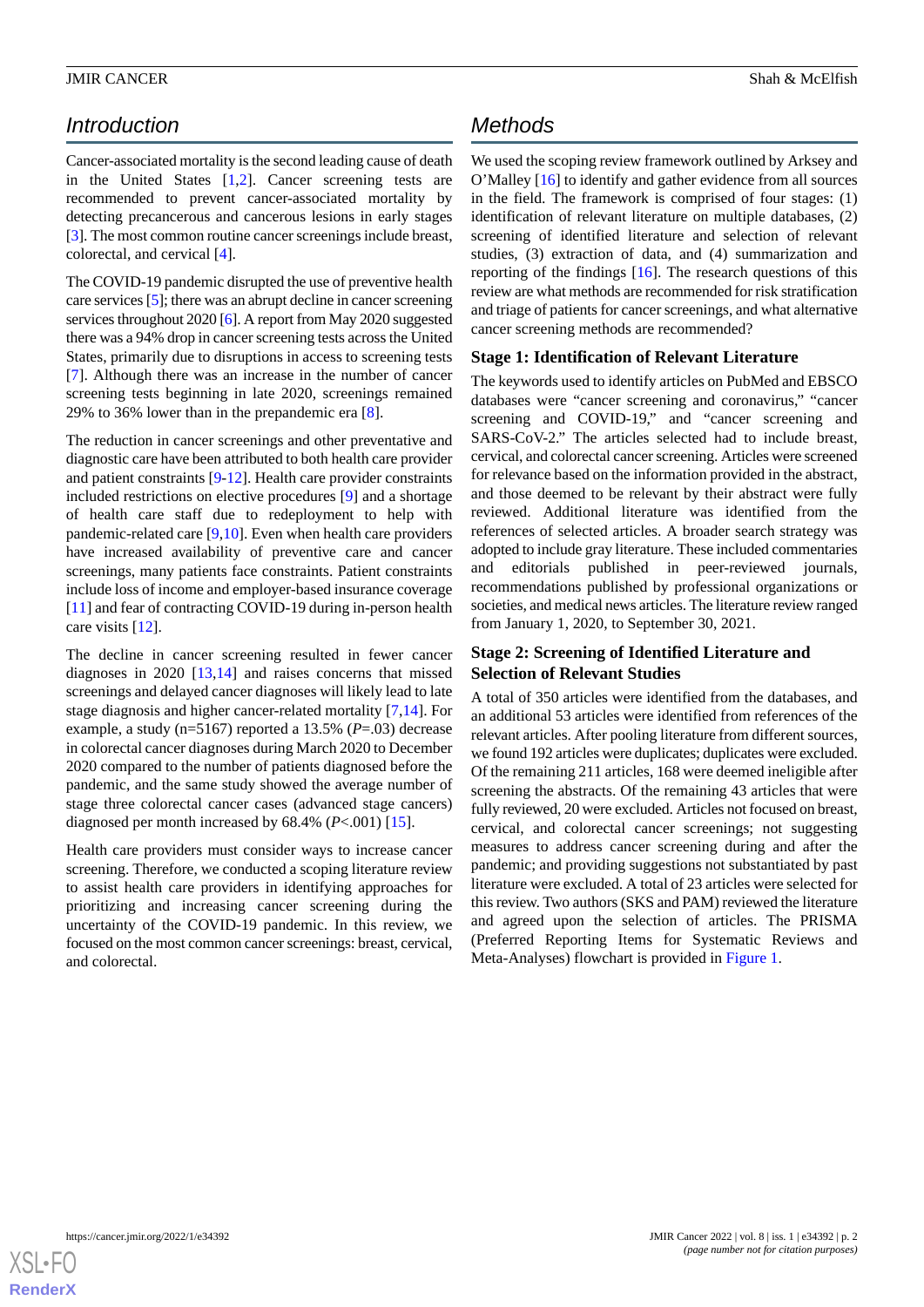## *Introduction*

Cancer-associated mortality is the second leading cause of death in the United States [[1](#page-5-0)[,2](#page-5-1)]. Cancer screening tests are recommended to prevent cancer-associated mortality by detecting precancerous and cancerous lesions in early stages [[3\]](#page-5-2). The most common routine cancer screenings include breast, colorectal, and cervical [\[4](#page-5-3)].

The COVID-19 pandemic disrupted the use of preventive health care services [\[5](#page-5-4)]; there was an abrupt decline in cancer screening services throughout 2020 [[6\]](#page-5-5). A report from May 2020 suggested there was a 94% drop in cancer screening tests across the United States, primarily due to disruptions in access to screening tests [[7\]](#page-5-6). Although there was an increase in the number of cancer screening tests beginning in late 2020, screenings remained 29% to 36% lower than in the prepandemic era [\[8](#page-5-7)].

The reduction in cancer screenings and other preventative and diagnostic care have been attributed to both health care provider and patient constraints [[9-](#page-5-8)[12](#page-5-9)]. Health care provider constraints included restrictions on elective procedures [[9\]](#page-5-8) and a shortage of health care staff due to redeployment to help with pandemic-related care [\[9](#page-5-8),[10\]](#page-5-10). Even when health care providers have increased availability of preventive care and cancer screenings, many patients face constraints. Patient constraints include loss of income and employer-based insurance coverage [[11\]](#page-5-11) and fear of contracting COVID-19 during in-person health care visits [[12\]](#page-5-9).

The decline in cancer screening resulted in fewer cancer diagnoses in 2020 [\[13](#page-5-12),[14\]](#page-5-13) and raises concerns that missed screenings and delayed cancer diagnoses will likely lead to late stage diagnosis and higher cancer-related mortality [\[7](#page-5-6),[14\]](#page-5-13). For example, a study (n=5167) reported a 13.5% (*P*=.03) decrease in colorectal cancer diagnoses during March 2020 to December 2020 compared to the number of patients diagnosed before the pandemic, and the same study showed the average number of stage three colorectal cancer cases (advanced stage cancers) diagnosed per month increased by 68.4% (*P*<.001) [[15\]](#page-5-14).

Health care providers must consider ways to increase cancer screening. Therefore, we conducted a scoping literature review to assist health care providers in identifying approaches for prioritizing and increasing cancer screening during the uncertainty of the COVID-19 pandemic. In this review, we focused on the most common cancer screenings: breast, cervical, and colorectal.

## *Methods*

We used the scoping review framework outlined by Arksey and O'Malley [\[16](#page-5-15)] to identify and gather evidence from all sources in the field. The framework is comprised of four stages: (1) identification of relevant literature on multiple databases, (2) screening of identified literature and selection of relevant studies, (3) extraction of data, and (4) summarization and reporting of the findings  $[16]$  $[16]$ . The research questions of this review are what methods are recommended for risk stratification and triage of patients for cancer screenings, and what alternative cancer screening methods are recommended?

#### **Stage 1: Identification of Relevant Literature**

The keywords used to identify articles on PubMed and EBSCO databases were "cancer screening and coronavirus," "cancer screening and COVID-19," and "cancer screening and SARS-CoV-2." The articles selected had to include breast, cervical, and colorectal cancer screening. Articles were screened for relevance based on the information provided in the abstract, and those deemed to be relevant by their abstract were fully reviewed. Additional literature was identified from the references of selected articles. A broader search strategy was adopted to include gray literature. These included commentaries and editorials published in peer-reviewed journals, recommendations published by professional organizations or societies, and medical news articles. The literature review ranged from January 1, 2020, to September 30, 2021.

#### **Stage 2: Screening of Identified Literature and Selection of Relevant Studies**

A total of 350 articles were identified from the databases, and an additional 53 articles were identified from references of the relevant articles. After pooling literature from different sources, we found 192 articles were duplicates; duplicates were excluded. Of the remaining 211 articles, 168 were deemed ineligible after screening the abstracts. Of the remaining 43 articles that were fully reviewed, 20 were excluded. Articles not focused on breast, cervical, and colorectal cancer screenings; not suggesting measures to address cancer screening during and after the pandemic; and providing suggestions not substantiated by past literature were excluded. A total of 23 articles were selected for this review. Two authors (SKS and PAM) reviewed the literature and agreed upon the selection of articles. The PRISMA (Preferred Reporting Items for Systematic Reviews and Meta-Analyses) flowchart is provided in [Figure 1.](#page-2-0)

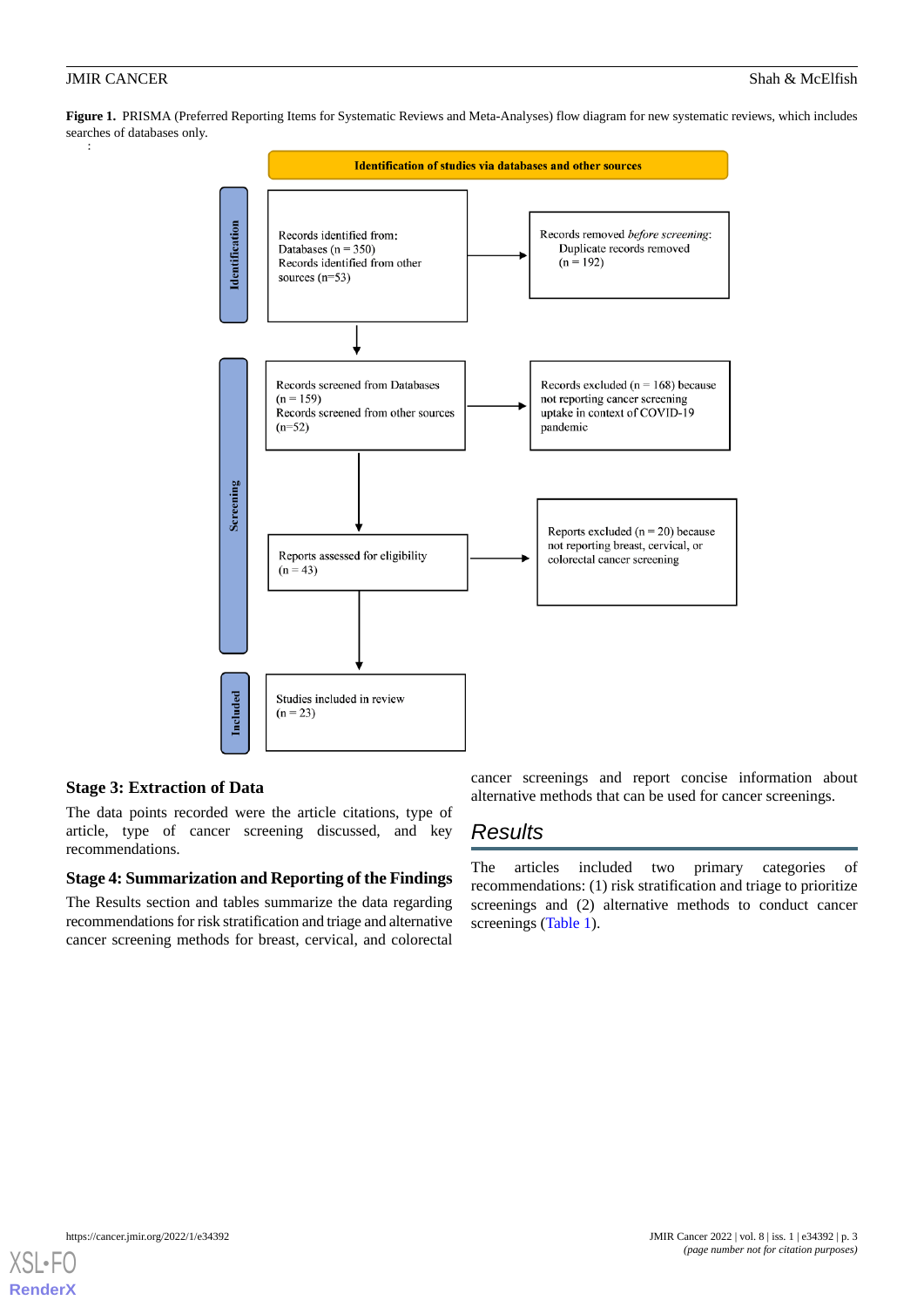<span id="page-2-0"></span>**Figure 1.** PRISMA (Preferred Reporting Items for Systematic Reviews and Meta-Analyses) flow diagram for new systematic reviews, which includes searches of databases only.



### **Stage 3: Extraction of Data**

The data points recorded were the article citations, type of article, type of cancer screening discussed, and key recommendations.

#### **Stage 4: Summarization and Reporting of the Findings**

The Results section and tables summarize the data regarding recommendations for risk stratification and triage and alternative cancer screening methods for breast, cervical, and colorectal

cancer screenings and report concise information about alternative methods that can be used for cancer screenings.

## *Results*

The articles included two primary categories of recommendations: (1) risk stratification and triage to prioritize screenings and (2) alternative methods to conduct cancer screenings ([Table 1](#page-3-0)).

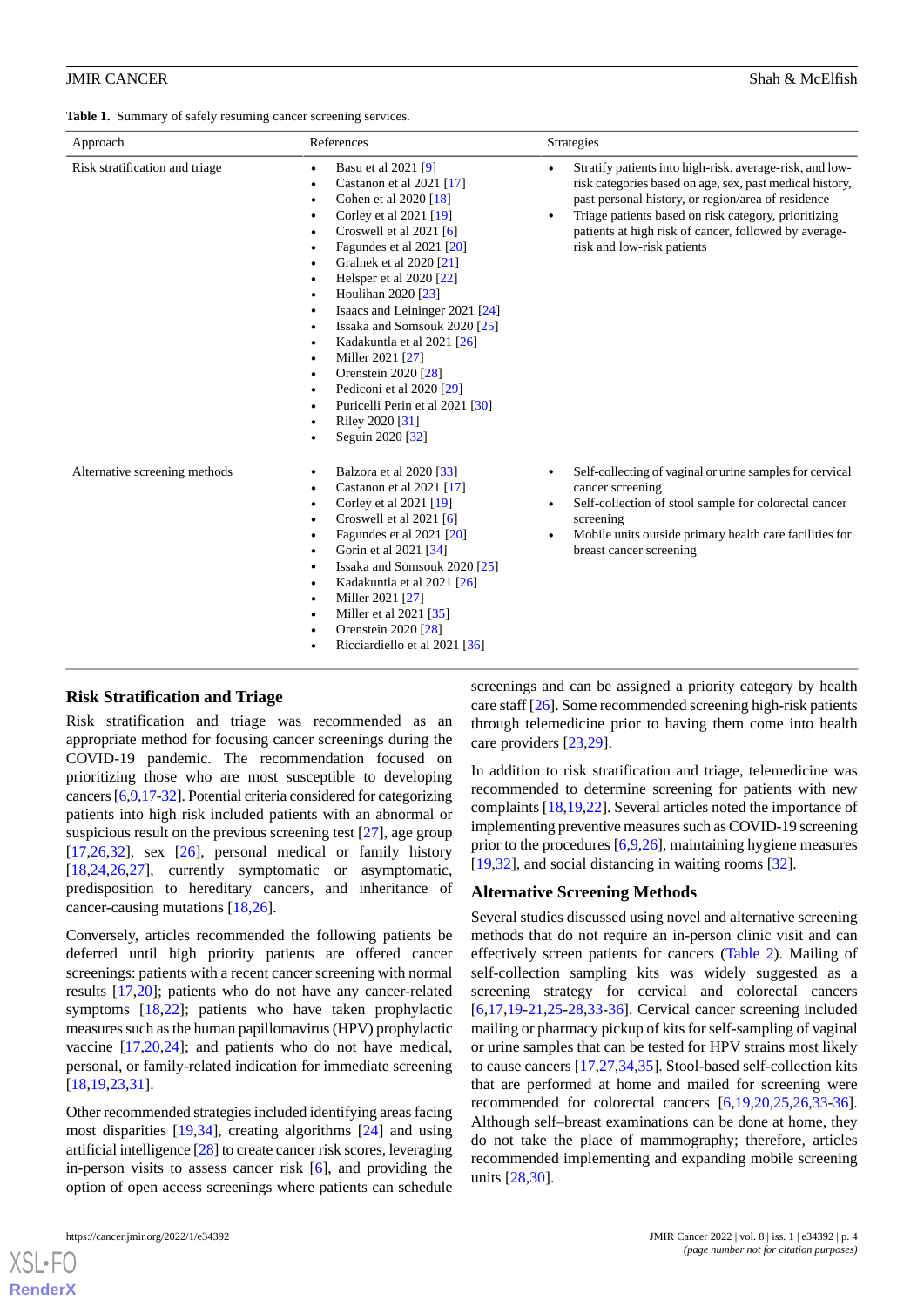#### JMIR CANCER Shah & McElfish

<span id="page-3-0"></span>**Table 1.** Summary of safely resuming cancer screening services.

| Approach                       | References                                                                                                                                                                                                                                                                                                                                                                                                                                                                                                                                                                                                                                                                                                                               | <b>Strategies</b>                                                                                                                                                                                                                                                                                                                      |
|--------------------------------|------------------------------------------------------------------------------------------------------------------------------------------------------------------------------------------------------------------------------------------------------------------------------------------------------------------------------------------------------------------------------------------------------------------------------------------------------------------------------------------------------------------------------------------------------------------------------------------------------------------------------------------------------------------------------------------------------------------------------------------|----------------------------------------------------------------------------------------------------------------------------------------------------------------------------------------------------------------------------------------------------------------------------------------------------------------------------------------|
| Risk stratification and triage | Basu et al 2021 [9]<br>$\bullet$<br>Castanon et al 2021 [17]<br>$\bullet$<br>Cohen et al 2020 [18]<br>$\bullet$<br>Corley et al 2021 [19]<br>$\bullet$<br>Croswell et al $2021$ [6]<br>$\bullet$<br>Fagundes et al $2021$ [ $20$ ]<br>$\bullet$<br>Gralnek et al 2020 [21]<br>$\bullet$<br>Helsper et al 2020 [22]<br>$\bullet$<br>Houlihan 2020 [23]<br>$\bullet$<br>Isaacs and Leininger 2021 [24]<br>$\bullet$<br>Issaka and Somsouk 2020 [25]<br>$\bullet$<br>Kadakuntla et al 2021 [26]<br>$\bullet$<br>Miller 2021 [27]<br>$\bullet$<br>Orenstein 2020 [28]<br>$\bullet$<br>Pediconi et al 2020 [29]<br>$\bullet$<br>Puricelli Perin et al 2021 [30]<br>$\bullet$<br>Riley 2020 [31]<br>$\bullet$<br>Seguin 2020 [32]<br>$\bullet$ | Stratify patients into high-risk, average-risk, and low-<br>risk categories based on age, sex, past medical history,<br>past personal history, or region/area of residence<br>Triage patients based on risk category, prioritizing<br>$\bullet$<br>patients at high risk of cancer, followed by average-<br>risk and low-risk patients |
| Alternative screening methods  | Balzora et al 2020 [33]<br>٠<br>Castanon et al 2021 [17]<br>$\bullet$<br>Corley et al 2021 [19]<br>$\bullet$<br>Croswell et al 2021 [6]<br>$\bullet$<br>Fagundes et al 2021 [20]<br>$\bullet$<br>Gorin et al 2021 [34]<br>$\bullet$<br>Issaka and Somsouk 2020 [25]<br>$\bullet$<br>Kadakuntla et al 2021 [26]<br>$\bullet$<br>Miller 2021 [27]<br>$\bullet$<br>Miller et al 2021 [35]<br>$\bullet$<br>Orenstein 2020 [28]<br>$\bullet$<br>Ricciardiello et al 2021 [36]                                                                                                                                                                                                                                                                 | Self-collecting of vaginal or urine samples for cervical<br>cancer screening<br>Self-collection of stool sample for colorectal cancer<br>$\bullet$<br>screening<br>Mobile units outside primary health care facilities for<br>breast cancer screening                                                                                  |

### **Risk Stratification and Triage**

Risk stratification and triage was recommended as an appropriate method for focusing cancer screenings during the COVID-19 pandemic. The recommendation focused on prioritizing those who are most susceptible to developing cancers [[6,](#page-5-5)[9](#page-5-8)[,17](#page-5-16)[-32\]](#page-6-11). Potential criteria considered for categorizing patients into high risk included patients with an abnormal or suspicious result on the previous screening test [\[27](#page-6-6)], age group  $[17,26,32]$  $[17,26,32]$  $[17,26,32]$  $[17,26,32]$  $[17,26,32]$ , sex  $[26]$  $[26]$ , personal medical or family history [[18](#page-5-17)[,24](#page-6-3),[26](#page-6-5)[,27](#page-6-6)], currently symptomatic or asymptomatic, predisposition to hereditary cancers, and inheritance of cancer-causing mutations [\[18](#page-5-17),[26\]](#page-6-5).

Conversely, articles recommended the following patients be deferred until high priority patients are offered cancer screenings: patients with a recent cancer screening with normal results [[17](#page-5-16)[,20](#page-5-19)]; patients who do not have any cancer-related symptoms [\[18](#page-5-17),[22\]](#page-6-1); patients who have taken prophylactic measures such as the human papillomavirus (HPV) prophylactic vaccine [[17,](#page-5-16)[20](#page-5-19),[24\]](#page-6-3); and patients who do not have medical, personal, or family-related indication for immediate screening [[18](#page-5-17)[,19](#page-5-18),[23](#page-6-2)[,31](#page-6-10)].

Other recommended strategies included identifying areas facing most disparities [[19,](#page-5-18)[34](#page-6-13)], creating algorithms [[24\]](#page-6-3) and using artificial intelligence [\[28\]](#page-6-7) to create cancer risk scores, leveraging in-person visits to assess cancer risk [[6\]](#page-5-5), and providing the option of open access screenings where patients can schedule

[XSL](http://www.w3.org/Style/XSL)•FO **[RenderX](http://www.renderx.com/)**

screenings and can be assigned a priority category by health care staff [\[26](#page-6-5)]. Some recommended screening high-risk patients through telemedicine prior to having them come into health care providers [\[23](#page-6-2),[29\]](#page-6-8).

In addition to risk stratification and triage, telemedicine was recommended to determine screening for patients with new complaints [[18,](#page-5-17)[19,](#page-5-18)[22\]](#page-6-1). Several articles noted the importance of implementing preventive measures such as COVID-19 screening prior to the procedures [[6](#page-5-5)[,9](#page-5-8),[26\]](#page-6-5), maintaining hygiene measures [[19,](#page-5-18)[32\]](#page-6-11), and social distancing in waiting rooms [[32\]](#page-6-11).

#### **Alternative Screening Methods**

Several studies discussed using novel and alternative screening methods that do not require an in-person clinic visit and can effectively screen patients for cancers ([Table 2\)](#page-4-0). Mailing of self-collection sampling kits was widely suggested as a screening strategy for cervical and colorectal cancers [[6](#page-5-5)[,17](#page-5-16),[19](#page-5-18)[-21](#page-6-0),[25-](#page-6-4)[28](#page-6-7),[33-](#page-6-12)[36\]](#page-6-15). Cervical cancer screening included mailing or pharmacy pickup of kits for self-sampling of vaginal or urine samples that can be tested for HPV strains most likely to cause cancers [[17,](#page-5-16)[27](#page-6-6),[34,](#page-6-13)[35](#page-6-14)]. Stool-based self-collection kits that are performed at home and mailed for screening were recommended for colorectal cancers [\[6](#page-5-5),[19,](#page-5-18)[20](#page-5-19),[25,](#page-6-4)[26](#page-6-5),[33-](#page-6-12)[36\]](#page-6-15). Although self–breast examinations can be done at home, they do not take the place of mammography; therefore, articles recommended implementing and expanding mobile screening units [[28](#page-6-7)[,30](#page-6-9)].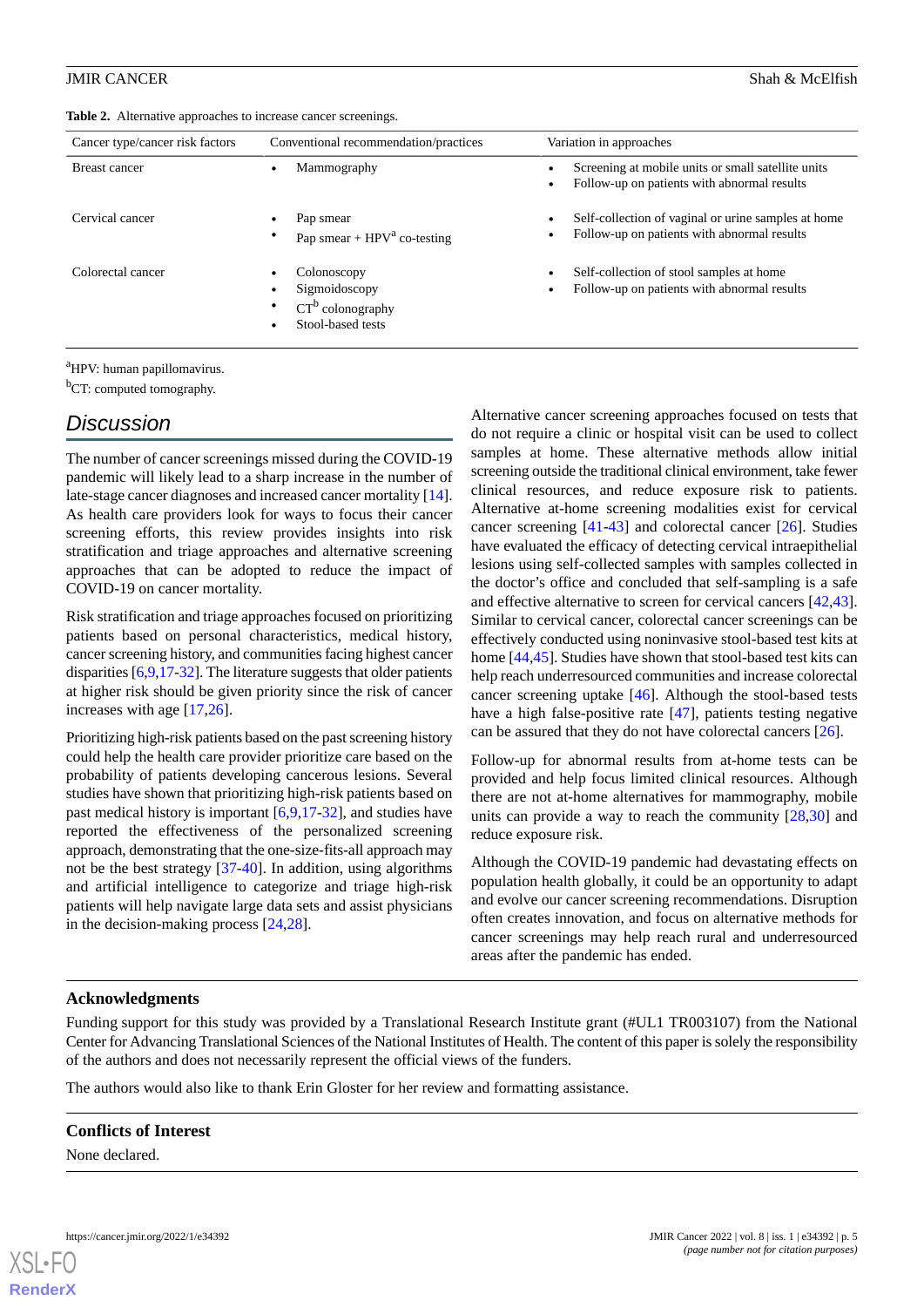#### <span id="page-4-0"></span>JMIR CANCER Shah & McElfish

| Cancer type/cancer risk factors | Conventional recommendation/practices                                    | Variation in approaches                                                                                         |
|---------------------------------|--------------------------------------------------------------------------|-----------------------------------------------------------------------------------------------------------------|
| <b>Breast cancer</b>            | Mammography                                                              | Screening at mobile units or small satellite units<br>Follow-up on patients with abnormal results               |
| Cervical cancer                 | Pap smear<br>Pap smear + $HPV^a$ co-testing                              | Self-collection of vaginal or urine samples at home<br>$\bullet$<br>Follow-up on patients with abnormal results |
| Colorectal cancer               | Colonoscopy<br>Sigmoidoscopy<br>$CT^b$ colonography<br>Stool-based tests | Self-collection of stool samples at home<br>$\bullet$<br>Follow-up on patients with abnormal results            |

<sup>a</sup>HPV: human papillomavirus.

 ${}^{b}$ CT: computed tomography.

### *Discussion*

The number of cancer screenings missed during the COVID-19 pandemic will likely lead to a sharp increase in the number of late-stage cancer diagnoses and increased cancer mortality [\[14\]](#page-5-13). As health care providers look for ways to focus their cancer screening efforts, this review provides insights into risk stratification and triage approaches and alternative screening approaches that can be adopted to reduce the impact of COVID-19 on cancer mortality.

Risk stratification and triage approaches focused on prioritizing patients based on personal characteristics, medical history, cancer screening history, and communities facing highest cancer disparities [[6](#page-5-5)[,9](#page-5-8)[,17](#page-5-16)-[32](#page-6-11)]. The literature suggests that older patients at higher risk should be given priority since the risk of cancer increases with age [[17,](#page-5-16)[26](#page-6-5)].

Prioritizing high-risk patients based on the past screening history could help the health care provider prioritize care based on the probability of patients developing cancerous lesions. Several studies have shown that prioritizing high-risk patients based on past medical history is important [\[6](#page-5-5),[9](#page-5-8)[,17](#page-5-16)-[32\]](#page-6-11), and studies have reported the effectiveness of the personalized screening approach, demonstrating that the one-size-fits-all approach may not be the best strategy [[37-](#page-6-16)[40\]](#page-6-17). In addition, using algorithms and artificial intelligence to categorize and triage high-risk patients will help navigate large data sets and assist physicians in the decision-making process [\[24](#page-6-3),[28](#page-6-7)].

Alternative cancer screening approaches focused on tests that do not require a clinic or hospital visit can be used to collect samples at home. These alternative methods allow initial screening outside the traditional clinical environment, take fewer clinical resources, and reduce exposure risk to patients. Alternative at-home screening modalities exist for cervical cancer screening [[41](#page-6-18)[-43](#page-7-0)] and colorectal cancer [[26\]](#page-6-5). Studies have evaluated the efficacy of detecting cervical intraepithelial lesions using self-collected samples with samples collected in the doctor's office and concluded that self-sampling is a safe and effective alternative to screen for cervical cancers [\[42](#page-7-1),[43\]](#page-7-0). Similar to cervical cancer, colorectal cancer screenings can be effectively conducted using noninvasive stool-based test kits at home [\[44](#page-7-2),[45\]](#page-7-3). Studies have shown that stool-based test kits can help reach underresourced communities and increase colorectal cancer screening uptake [[46\]](#page-7-4). Although the stool-based tests have a high false-positive rate [[47\]](#page-7-5), patients testing negative can be assured that they do not have colorectal cancers [\[26](#page-6-5)].

Follow-up for abnormal results from at-home tests can be provided and help focus limited clinical resources. Although there are not at-home alternatives for mammography, mobile units can provide a way to reach the community [\[28](#page-6-7),[30\]](#page-6-9) and reduce exposure risk.

Although the COVID-19 pandemic had devastating effects on population health globally, it could be an opportunity to adapt and evolve our cancer screening recommendations. Disruption often creates innovation, and focus on alternative methods for cancer screenings may help reach rural and underresourced areas after the pandemic has ended.

#### **Acknowledgments**

Funding support for this study was provided by a Translational Research Institute grant (#UL1 TR003107) from the National Center for Advancing Translational Sciences of the National Institutes of Health. The content of this paper is solely the responsibility of the authors and does not necessarily represent the official views of the funders.

The authors would also like to thank Erin Gloster for her review and formatting assistance.

#### **Conflicts of Interest**

None declared.

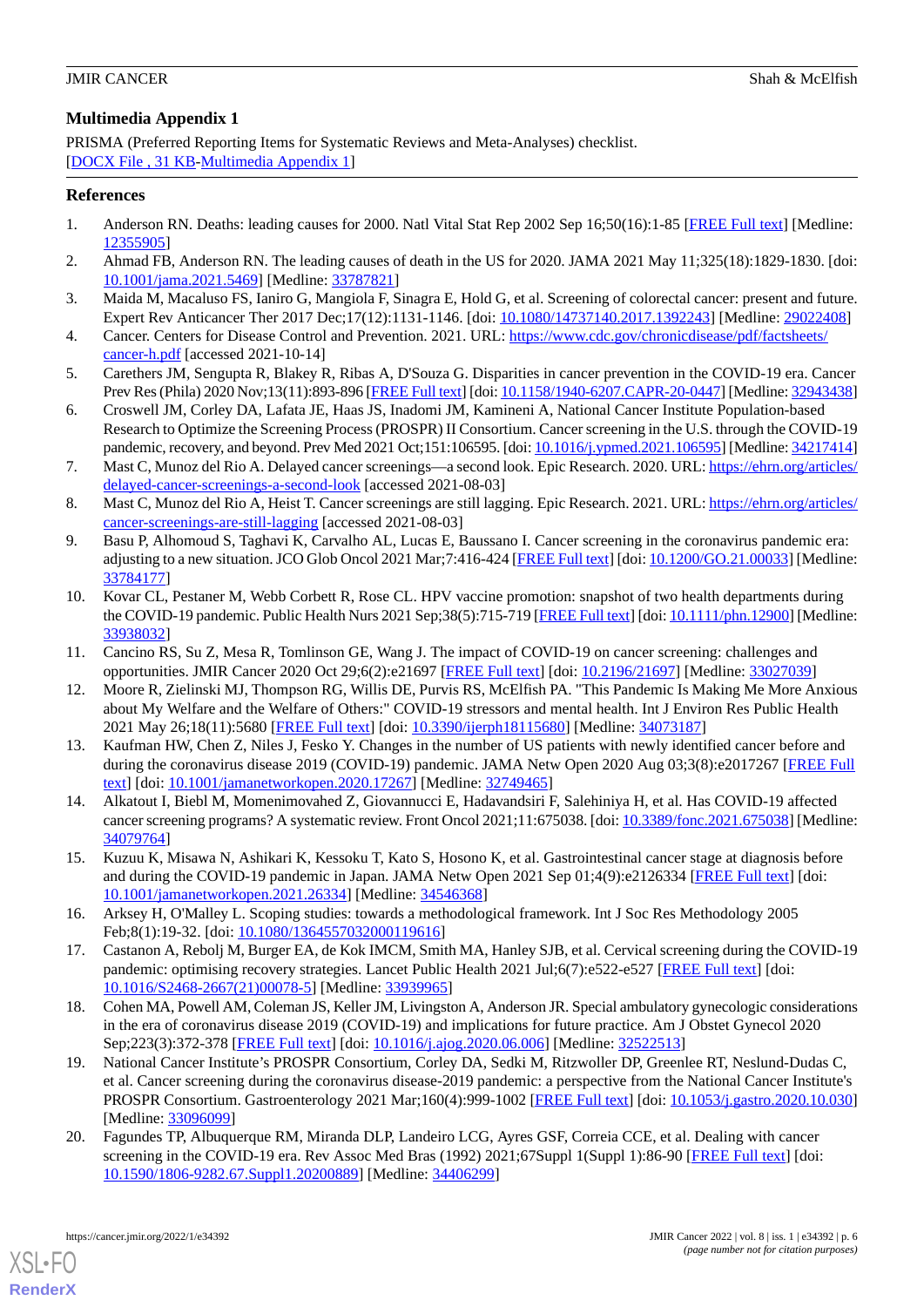#### **Multimedia Appendix 1**

PRISMA (Preferred Reporting Items for Systematic Reviews and Meta-Analyses) checklist. [[DOCX File , 31 KB](https://jmir.org/api/download?alt_name=cancer_v8i1e34392_app1.docx&filename=8c0cfee4cac35d854001d4bd9b00a1b9.docx)-[Multimedia Appendix 1\]](https://jmir.org/api/download?alt_name=cancer_v8i1e34392_app1.docx&filename=8c0cfee4cac35d854001d4bd9b00a1b9.docx)

#### <span id="page-5-0"></span>**References**

- <span id="page-5-1"></span>1. Anderson RN. Deaths: leading causes for 2000. Natl Vital Stat Rep 2002 Sep 16;50(16):1-85 [\[FREE Full text\]](https://www.cdc.gov/nchs/data/nvsr/nvsr50/nvsr50_16.pdf) [Medline: [12355905](http://www.ncbi.nlm.nih.gov/entrez/query.fcgi?cmd=Retrieve&db=PubMed&list_uids=12355905&dopt=Abstract)]
- <span id="page-5-2"></span>2. Ahmad FB, Anderson RN. The leading causes of death in the US for 2020. JAMA 2021 May 11;325(18):1829-1830. [doi: [10.1001/jama.2021.5469](http://dx.doi.org/10.1001/jama.2021.5469)] [Medline: [33787821](http://www.ncbi.nlm.nih.gov/entrez/query.fcgi?cmd=Retrieve&db=PubMed&list_uids=33787821&dopt=Abstract)]
- <span id="page-5-3"></span>3. Maida M, Macaluso FS, Ianiro G, Mangiola F, Sinagra E, Hold G, et al. Screening of colorectal cancer: present and future. Expert Rev Anticancer Ther 2017 Dec;17(12):1131-1146. [doi: [10.1080/14737140.2017.1392243\]](http://dx.doi.org/10.1080/14737140.2017.1392243) [Medline: [29022408](http://www.ncbi.nlm.nih.gov/entrez/query.fcgi?cmd=Retrieve&db=PubMed&list_uids=29022408&dopt=Abstract)]
- <span id="page-5-4"></span>4. Cancer. Centers for Disease Control and Prevention. 2021. URL: [https://www.cdc.gov/chronicdisease/pdf/factsheets/](https://www.cdc.gov/chronicdisease/pdf/factsheets/cancer-h.pdf) [cancer-h.pdf](https://www.cdc.gov/chronicdisease/pdf/factsheets/cancer-h.pdf) [accessed 2021-10-14]
- <span id="page-5-5"></span>5. Carethers JM, Sengupta R, Blakey R, Ribas A, D'Souza G. Disparities in cancer prevention in the COVID-19 era. Cancer Prev Res (Phila) 2020 Nov;13(11):893-896 [\[FREE Full text](http://europepmc.org/abstract/MED/32943438)] [doi: [10.1158/1940-6207.CAPR-20-0447](http://dx.doi.org/10.1158/1940-6207.CAPR-20-0447)] [Medline: [32943438\]](http://www.ncbi.nlm.nih.gov/entrez/query.fcgi?cmd=Retrieve&db=PubMed&list_uids=32943438&dopt=Abstract)
- <span id="page-5-6"></span>6. Croswell JM, Corley DA, Lafata JE, Haas JS, Inadomi JM, Kamineni A, National Cancer Institute Population-based Research to Optimize the Screening Process (PROSPR) II Consortium. Cancer screening in the U.S. through the COVID-19 pandemic, recovery, and beyond. Prev Med 2021 Oct;151:106595. [doi: [10.1016/j.ypmed.2021.106595\]](http://dx.doi.org/10.1016/j.ypmed.2021.106595) [Medline: [34217414](http://www.ncbi.nlm.nih.gov/entrez/query.fcgi?cmd=Retrieve&db=PubMed&list_uids=34217414&dopt=Abstract)]
- <span id="page-5-7"></span>7. Mast C, Munoz del Rio A. Delayed cancer screenings—a second look. Epic Research. 2020. URL: [https://ehrn.org/articles/](https://ehrn.org/articles/delayed-cancer-screenings-a-second-look) [delayed-cancer-screenings-a-second-look](https://ehrn.org/articles/delayed-cancer-screenings-a-second-look) [accessed 2021-08-03]
- <span id="page-5-8"></span>8. Mast C, Munoz del Rio A, Heist T. Cancer screenings are still lagging. Epic Research. 2021. URL: [https://ehrn.org/articles/](https://ehrn.org/articles/cancer-screenings-are-still-lagging) [cancer-screenings-are-still-lagging](https://ehrn.org/articles/cancer-screenings-are-still-lagging) [accessed 2021-08-03]
- <span id="page-5-10"></span>9. Basu P, Alhomoud S, Taghavi K, Carvalho AL, Lucas E, Baussano I. Cancer screening in the coronavirus pandemic era: adjusting to a new situation. JCO Glob Oncol 2021 Mar;7:416-424 [\[FREE Full text](http://europepmc.org/abstract/MED/33784177)] [doi: [10.1200/GO.21.00033](http://dx.doi.org/10.1200/GO.21.00033)] [Medline: [33784177](http://www.ncbi.nlm.nih.gov/entrez/query.fcgi?cmd=Retrieve&db=PubMed&list_uids=33784177&dopt=Abstract)]
- <span id="page-5-11"></span><span id="page-5-9"></span>10. Kovar CL, Pestaner M, Webb Corbett R, Rose CL. HPV vaccine promotion: snapshot of two health departments during the COVID-19 pandemic. Public Health Nurs 2021 Sep;38(5):715-719 [\[FREE Full text\]](http://europepmc.org/abstract/MED/33938032) [doi: [10.1111/phn.12900\]](http://dx.doi.org/10.1111/phn.12900) [Medline: [33938032](http://www.ncbi.nlm.nih.gov/entrez/query.fcgi?cmd=Retrieve&db=PubMed&list_uids=33938032&dopt=Abstract)]
- 11. Cancino RS, Su Z, Mesa R, Tomlinson GE, Wang J. The impact of COVID-19 on cancer screening: challenges and opportunities. JMIR Cancer 2020 Oct 29;6(2):e21697 [\[FREE Full text\]](https://cancer.jmir.org/2020/2/e21697/) [doi: [10.2196/21697](http://dx.doi.org/10.2196/21697)] [Medline: [33027039](http://www.ncbi.nlm.nih.gov/entrez/query.fcgi?cmd=Retrieve&db=PubMed&list_uids=33027039&dopt=Abstract)]
- <span id="page-5-12"></span>12. Moore R, Zielinski MJ, Thompson RG, Willis DE, Purvis RS, McElfish PA. "This Pandemic Is Making Me More Anxious about My Welfare and the Welfare of Others:" COVID-19 stressors and mental health. Int J Environ Res Public Health 2021 May 26;18(11):5680 [[FREE Full text](https://www.mdpi.com/resolver?pii=ijerph18115680)] [doi: [10.3390/ijerph18115680](http://dx.doi.org/10.3390/ijerph18115680)] [Medline: [34073187\]](http://www.ncbi.nlm.nih.gov/entrez/query.fcgi?cmd=Retrieve&db=PubMed&list_uids=34073187&dopt=Abstract)
- <span id="page-5-14"></span><span id="page-5-13"></span>13. Kaufman HW, Chen Z, Niles J, Fesko Y. Changes in the number of US patients with newly identified cancer before and during the coronavirus disease 2019 (COVID-19) pandemic. JAMA Netw Open 2020 Aug 03;3(8):e2017267 [[FREE Full](https://jamanetwork.com/journals/jamanetworkopen/fullarticle/10.1001/jamanetworkopen.2020.17267) [text](https://jamanetwork.com/journals/jamanetworkopen/fullarticle/10.1001/jamanetworkopen.2020.17267)] [doi: [10.1001/jamanetworkopen.2020.17267](http://dx.doi.org/10.1001/jamanetworkopen.2020.17267)] [Medline: [32749465](http://www.ncbi.nlm.nih.gov/entrez/query.fcgi?cmd=Retrieve&db=PubMed&list_uids=32749465&dopt=Abstract)]
- <span id="page-5-15"></span>14. Alkatout I, Biebl M, Momenimovahed Z, Giovannucci E, Hadavandsiri F, Salehiniya H, et al. Has COVID-19 affected cancer screening programs? A systematic review. Front Oncol 2021;11:675038. [doi: [10.3389/fonc.2021.675038](http://dx.doi.org/10.3389/fonc.2021.675038)] [Medline: [34079764](http://www.ncbi.nlm.nih.gov/entrez/query.fcgi?cmd=Retrieve&db=PubMed&list_uids=34079764&dopt=Abstract)]
- <span id="page-5-16"></span>15. Kuzuu K, Misawa N, Ashikari K, Kessoku T, Kato S, Hosono K, et al. Gastrointestinal cancer stage at diagnosis before and during the COVID-19 pandemic in Japan. JAMA Netw Open 2021 Sep 01:4(9):e2126334 [\[FREE Full text\]](https://jamanetwork.com/journals/jamanetworkopen/fullarticle/10.1001/jamanetworkopen.2021.26334) [doi: [10.1001/jamanetworkopen.2021.26334](http://dx.doi.org/10.1001/jamanetworkopen.2021.26334)] [Medline: [34546368](http://www.ncbi.nlm.nih.gov/entrez/query.fcgi?cmd=Retrieve&db=PubMed&list_uids=34546368&dopt=Abstract)]
- <span id="page-5-17"></span>16. Arksey H, O'Malley L. Scoping studies: towards a methodological framework. Int J Soc Res Methodology 2005 Feb;8(1):19-32. [doi: [10.1080/1364557032000119616\]](http://dx.doi.org/10.1080/1364557032000119616)
- <span id="page-5-18"></span>17. Castanon A, Rebolj M, Burger EA, de Kok IMCM, Smith MA, Hanley SJB, et al. Cervical screening during the COVID-19 pandemic: optimising recovery strategies. Lancet Public Health 2021 Jul;6(7):e522-e527 [\[FREE Full text\]](https://linkinghub.elsevier.com/retrieve/pii/S2468-2667(21)00078-5) [doi: [10.1016/S2468-2667\(21\)00078-5\]](http://dx.doi.org/10.1016/S2468-2667(21)00078-5) [Medline: [33939965](http://www.ncbi.nlm.nih.gov/entrez/query.fcgi?cmd=Retrieve&db=PubMed&list_uids=33939965&dopt=Abstract)]
- <span id="page-5-19"></span>18. Cohen MA, Powell AM, Coleman JS, Keller JM, Livingston A, Anderson JR. Special ambulatory gynecologic considerations in the era of coronavirus disease 2019 (COVID-19) and implications for future practice. Am J Obstet Gynecol 2020 Sep;223(3):372-378 [[FREE Full text](http://europepmc.org/abstract/MED/32522513)] [doi: [10.1016/j.ajog.2020.06.006\]](http://dx.doi.org/10.1016/j.ajog.2020.06.006) [Medline: [32522513\]](http://www.ncbi.nlm.nih.gov/entrez/query.fcgi?cmd=Retrieve&db=PubMed&list_uids=32522513&dopt=Abstract)
- 19. National Cancer Institute's PROSPR Consortium, Corley DA, Sedki M, Ritzwoller DP, Greenlee RT, Neslund-Dudas C, et al. Cancer screening during the coronavirus disease-2019 pandemic: a perspective from the National Cancer Institute's PROSPR Consortium. Gastroenterology 2021 Mar;160(4):999-1002 [[FREE Full text](http://europepmc.org/abstract/MED/33096099)] [doi: [10.1053/j.gastro.2020.10.030](http://dx.doi.org/10.1053/j.gastro.2020.10.030)] [Medline: [33096099](http://www.ncbi.nlm.nih.gov/entrez/query.fcgi?cmd=Retrieve&db=PubMed&list_uids=33096099&dopt=Abstract)]
- 20. Fagundes TP, Albuquerque RM, Miranda DLP, Landeiro LCG, Ayres GSF, Correia CCE, et al. Dealing with cancer screening in the COVID-19 era. Rev Assoc Med Bras (1992) 2021;67Suppl 1(Suppl 1):86-90 [[FREE Full text](https://www.scielo.br/scielo.php?script=sci_arttext&pid=S0104-42302021000200086&lng=en&nrm=iso&tlng=en)] [doi: [10.1590/1806-9282.67.Suppl1.20200889\]](http://dx.doi.org/10.1590/1806-9282.67.Suppl1.20200889) [Medline: [34406299\]](http://www.ncbi.nlm.nih.gov/entrez/query.fcgi?cmd=Retrieve&db=PubMed&list_uids=34406299&dopt=Abstract)

[XSL](http://www.w3.org/Style/XSL)•FO **[RenderX](http://www.renderx.com/)**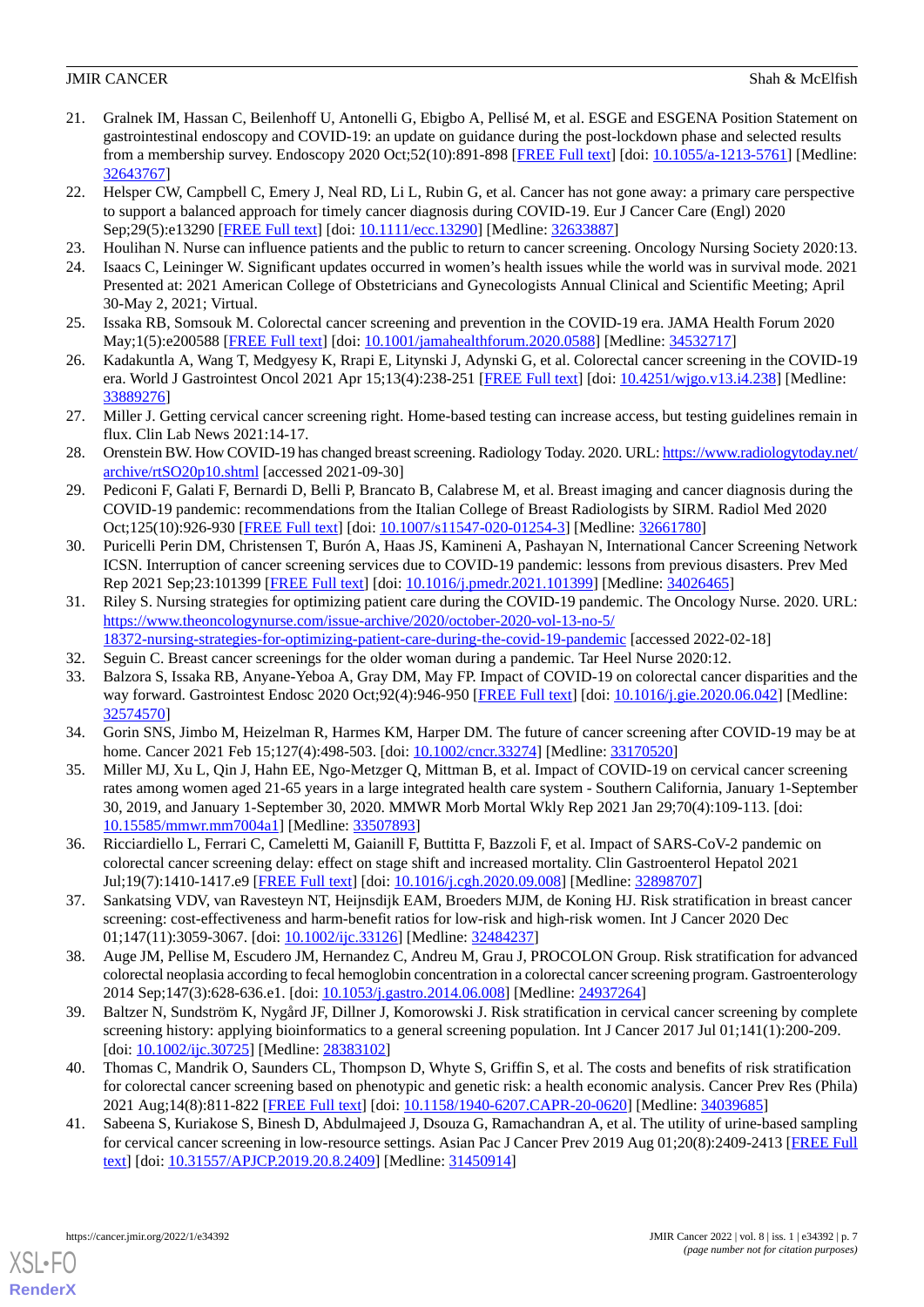- <span id="page-6-0"></span>21. Gralnek IM, Hassan C, Beilenhoff U, Antonelli G, Ebigbo A, Pellisé M, et al. ESGE and ESGENA Position Statement on gastrointestinal endoscopy and COVID-19: an update on guidance during the post-lockdown phase and selected results from a membership survey. Endoscopy 2020 Oct;52(10):891-898 [\[FREE Full text\]](http://www.thieme-connect.com/DOI/DOI?10.1055/a-1213-5761) [doi: [10.1055/a-1213-5761](http://dx.doi.org/10.1055/a-1213-5761)] [Medline: [32643767](http://www.ncbi.nlm.nih.gov/entrez/query.fcgi?cmd=Retrieve&db=PubMed&list_uids=32643767&dopt=Abstract)]
- <span id="page-6-1"></span>22. Helsper CW, Campbell C, Emery J, Neal RD, Li L, Rubin G, et al. Cancer has not gone away: a primary care perspective to support a balanced approach for timely cancer diagnosis during COVID-19. Eur J Cancer Care (Engl) 2020 Sep;29(5):e13290 [\[FREE Full text](http://europepmc.org/abstract/MED/32633887)] [doi: [10.1111/ecc.13290\]](http://dx.doi.org/10.1111/ecc.13290) [Medline: [32633887\]](http://www.ncbi.nlm.nih.gov/entrez/query.fcgi?cmd=Retrieve&db=PubMed&list_uids=32633887&dopt=Abstract)
- <span id="page-6-3"></span><span id="page-6-2"></span>23. Houlihan N. Nurse can influence patients and the public to return to cancer screening. Oncology Nursing Society 2020:13.
- <span id="page-6-4"></span>24. Isaacs C, Leininger W. Significant updates occurred in women's health issues while the world was in survival mode. 2021 Presented at: 2021 American College of Obstetricians and Gynecologists Annual Clinical and Scientific Meeting; April 30-May 2, 2021; Virtual.
- <span id="page-6-5"></span>25. Issaka RB, Somsouk M. Colorectal cancer screening and prevention in the COVID-19 era. JAMA Health Forum 2020 May;1(5):e200588 [\[FREE Full text\]](http://europepmc.org/abstract/MED/34532717) [doi: [10.1001/jamahealthforum.2020.0588\]](http://dx.doi.org/10.1001/jamahealthforum.2020.0588) [Medline: [34532717](http://www.ncbi.nlm.nih.gov/entrez/query.fcgi?cmd=Retrieve&db=PubMed&list_uids=34532717&dopt=Abstract)]
- <span id="page-6-6"></span>26. Kadakuntla A, Wang T, Medgyesy K, Rrapi E, Litynski J, Adynski G, et al. Colorectal cancer screening in the COVID-19 era. World J Gastrointest Oncol 2021 Apr 15;13(4):238-251 [\[FREE Full text](https://www.wjgnet.com/1948-5204/full/v13/i4/238.htm)] [doi: [10.4251/wjgo.v13.i4.238](http://dx.doi.org/10.4251/wjgo.v13.i4.238)] [Medline: [33889276](http://www.ncbi.nlm.nih.gov/entrez/query.fcgi?cmd=Retrieve&db=PubMed&list_uids=33889276&dopt=Abstract)]
- <span id="page-6-7"></span>27. Miller J. Getting cervical cancer screening right. Home-based testing can increase access, but testing guidelines remain in flux. Clin Lab News 2021:14-17.
- <span id="page-6-8"></span>28. Orenstein BW. How COVID-19 has changed breast screening. Radiology Today. 2020. URL: [https://www.radiologytoday.net/](https://www.radiologytoday.net/archive/rtSO20p10.shtml) [archive/rtSO20p10.shtml](https://www.radiologytoday.net/archive/rtSO20p10.shtml) [accessed 2021-09-30]
- <span id="page-6-9"></span>29. Pediconi F, Galati F, Bernardi D, Belli P, Brancato B, Calabrese M, et al. Breast imaging and cancer diagnosis during the COVID-19 pandemic: recommendations from the Italian College of Breast Radiologists by SIRM. Radiol Med 2020 Oct;125(10):926-930 [\[FREE Full text\]](http://europepmc.org/abstract/MED/32661780) [doi: [10.1007/s11547-020-01254-3](http://dx.doi.org/10.1007/s11547-020-01254-3)] [Medline: [32661780\]](http://www.ncbi.nlm.nih.gov/entrez/query.fcgi?cmd=Retrieve&db=PubMed&list_uids=32661780&dopt=Abstract)
- <span id="page-6-10"></span>30. Puricelli Perin DM, Christensen T, Burón A, Haas JS, Kamineni A, Pashayan N, International Cancer Screening Network ICSN. Interruption of cancer screening services due to COVID-19 pandemic: lessons from previous disasters. Prev Med Rep 2021 Sep;23:101399 [\[FREE Full text](https://linkinghub.elsevier.com/retrieve/pii/S2211-3355(21)00089-9)] [doi: [10.1016/j.pmedr.2021.101399](http://dx.doi.org/10.1016/j.pmedr.2021.101399)] [Medline: [34026465\]](http://www.ncbi.nlm.nih.gov/entrez/query.fcgi?cmd=Retrieve&db=PubMed&list_uids=34026465&dopt=Abstract)
- <span id="page-6-12"></span><span id="page-6-11"></span>31. Riley S. Nursing strategies for optimizing patient care during the COVID-19 pandemic. The Oncology Nurse. 2020. URL: [https://www.theoncologynurse.com/issue-archive/2020/october-2020-vol-13-no-5/](https://www.theoncologynurse.com/issue-archive/2020/october-2020-vol-13-no-5/18372-nursing-strategies-for-optimizing-patient-care-during-the-covid-19-pandemic) [18372-nursing-strategies-for-optimizing-patient-care-during-the-covid-19-pandemic](https://www.theoncologynurse.com/issue-archive/2020/october-2020-vol-13-no-5/18372-nursing-strategies-for-optimizing-patient-care-during-the-covid-19-pandemic) [accessed 2022-02-18]
- <span id="page-6-13"></span>32. Seguin C. Breast cancer screenings for the older woman during a pandemic. Tar Heel Nurse 2020:12.
- <span id="page-6-14"></span>33. Balzora S, Issaka RB, Anyane-Yeboa A, Gray DM, May FP. Impact of COVID-19 on colorectal cancer disparities and the way forward. Gastrointest Endosc 2020 Oct;92(4):946-950 [\[FREE Full text\]](http://europepmc.org/abstract/MED/32574570) [doi: [10.1016/j.gie.2020.06.042](http://dx.doi.org/10.1016/j.gie.2020.06.042)] [Medline: [32574570](http://www.ncbi.nlm.nih.gov/entrez/query.fcgi?cmd=Retrieve&db=PubMed&list_uids=32574570&dopt=Abstract)]
- 34. Gorin SNS, Jimbo M, Heizelman R, Harmes KM, Harper DM. The future of cancer screening after COVID-19 may be at home. Cancer 2021 Feb 15;127(4):498-503. [doi: [10.1002/cncr.33274\]](http://dx.doi.org/10.1002/cncr.33274) [Medline: [33170520\]](http://www.ncbi.nlm.nih.gov/entrez/query.fcgi?cmd=Retrieve&db=PubMed&list_uids=33170520&dopt=Abstract)
- <span id="page-6-15"></span>35. Miller MJ, Xu L, Qin J, Hahn EE, Ngo-Metzger Q, Mittman B, et al. Impact of COVID-19 on cervical cancer screening rates among women aged 21-65 years in a large integrated health care system - Southern California, January 1-September 30, 2019, and January 1-September 30, 2020. MMWR Morb Mortal Wkly Rep 2021 Jan 29;70(4):109-113. [doi: [10.15585/mmwr.mm7004a1\]](http://dx.doi.org/10.15585/mmwr.mm7004a1) [Medline: [33507893\]](http://www.ncbi.nlm.nih.gov/entrez/query.fcgi?cmd=Retrieve&db=PubMed&list_uids=33507893&dopt=Abstract)
- <span id="page-6-16"></span>36. Ricciardiello L, Ferrari C, Cameletti M, Gaianill F, Buttitta F, Bazzoli F, et al. Impact of SARS-CoV-2 pandemic on colorectal cancer screening delay: effect on stage shift and increased mortality. Clin Gastroenterol Hepatol 2021 Jul;19(7):1410-1417.e9 [\[FREE Full text\]](https://linkinghub.elsevier.com/retrieve/pii/S1542-3565(20)31236-2) [doi: [10.1016/j.cgh.2020.09.008\]](http://dx.doi.org/10.1016/j.cgh.2020.09.008) [Medline: [32898707](http://www.ncbi.nlm.nih.gov/entrez/query.fcgi?cmd=Retrieve&db=PubMed&list_uids=32898707&dopt=Abstract)]
- 37. Sankatsing VDV, van Ravesteyn NT, Heijnsdijk EAM, Broeders MJM, de Koning HJ. Risk stratification in breast cancer screening: cost-effectiveness and harm-benefit ratios for low-risk and high-risk women. Int J Cancer 2020 Dec 01;147(11):3059-3067. [doi: [10.1002/ijc.33126](http://dx.doi.org/10.1002/ijc.33126)] [Medline: [32484237](http://www.ncbi.nlm.nih.gov/entrez/query.fcgi?cmd=Retrieve&db=PubMed&list_uids=32484237&dopt=Abstract)]
- <span id="page-6-17"></span>38. Auge JM, Pellise M, Escudero JM, Hernandez C, Andreu M, Grau J, PROCOLON Group. Risk stratification for advanced colorectal neoplasia according to fecal hemoglobin concentration in a colorectal cancer screening program. Gastroenterology 2014 Sep;147(3):628-636.e1. [doi: [10.1053/j.gastro.2014.06.008](http://dx.doi.org/10.1053/j.gastro.2014.06.008)] [Medline: [24937264](http://www.ncbi.nlm.nih.gov/entrez/query.fcgi?cmd=Retrieve&db=PubMed&list_uids=24937264&dopt=Abstract)]
- <span id="page-6-18"></span>39. Baltzer N, Sundström K, Nygård JF, Dillner J, Komorowski J. Risk stratification in cervical cancer screening by complete screening history: applying bioinformatics to a general screening population. Int J Cancer 2017 Jul 01;141(1):200-209. [doi: [10.1002/ijc.30725\]](http://dx.doi.org/10.1002/ijc.30725) [Medline: [28383102](http://www.ncbi.nlm.nih.gov/entrez/query.fcgi?cmd=Retrieve&db=PubMed&list_uids=28383102&dopt=Abstract)]
- 40. Thomas C, Mandrik O, Saunders CL, Thompson D, Whyte S, Griffin S, et al. The costs and benefits of risk stratification for colorectal cancer screening based on phenotypic and genetic risk: a health economic analysis. Cancer Prev Res (Phila) 2021 Aug;14(8):811-822 [[FREE Full text](http://europepmc.org/abstract/MED/34039685)] [doi: [10.1158/1940-6207.CAPR-20-0620](http://dx.doi.org/10.1158/1940-6207.CAPR-20-0620)] [Medline: [34039685\]](http://www.ncbi.nlm.nih.gov/entrez/query.fcgi?cmd=Retrieve&db=PubMed&list_uids=34039685&dopt=Abstract)
- 41. Sabeena S, Kuriakose S, Binesh D, Abdulmajeed J, Dsouza G, Ramachandran A, et al. The utility of urine-based sampling for cervical cancer screening in low-resource settings. Asian Pac J Cancer Prev 2019 Aug 01;20(8):2409-2413 [[FREE Full](http://journal.waocp.org/?sid=Entrez:PubMed&id=pmid:31450914&key=2019.20.8.2409) [text](http://journal.waocp.org/?sid=Entrez:PubMed&id=pmid:31450914&key=2019.20.8.2409)] [doi: [10.31557/APJCP.2019.20.8.2409\]](http://dx.doi.org/10.31557/APJCP.2019.20.8.2409) [Medline: [31450914](http://www.ncbi.nlm.nih.gov/entrez/query.fcgi?cmd=Retrieve&db=PubMed&list_uids=31450914&dopt=Abstract)]

[XSL](http://www.w3.org/Style/XSL)•FO **[RenderX](http://www.renderx.com/)**